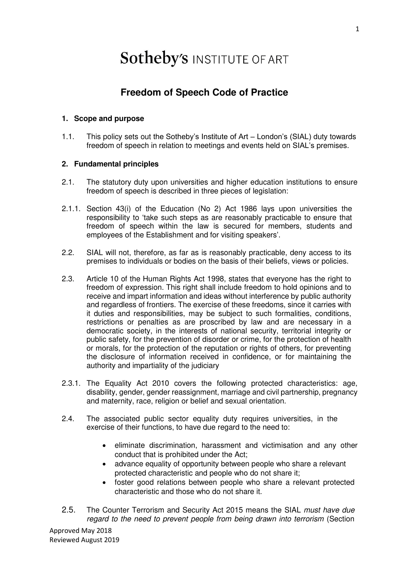# **Sotheby's INSTITUTE OF ART**

# **Freedom of Speech Code of Practice**

### **1. Scope and purpose**

1.1. This policy sets out the Sotheby's Institute of Art – London's (SIAL) duty towards freedom of speech in relation to meetings and events held on SIAL's premises.

# **2. Fundamental principles**

- 2.1. The statutory duty upon universities and higher education institutions to ensure freedom of speech is described in three pieces of legislation:
- 2.1.1. Section 43(i) of the Education (No 2) Act 1986 lays upon universities the responsibility to 'take such steps as are reasonably practicable to ensure that freedom of speech within the law is secured for members, students and employees of the Establishment and for visiting speakers'.
- 2.2. SIAL will not, therefore, as far as is reasonably practicable, deny access to its premises to individuals or bodies on the basis of their beliefs, views or policies.
- 2.3. Article 10 of the Human Rights Act 1998, states that everyone has the right to freedom of expression. This right shall include freedom to hold opinions and to receive and impart information and ideas without interference by public authority and regardless of frontiers. The exercise of these freedoms, since it carries with it duties and responsibilities, may be subject to such formalities, conditions, restrictions or penalties as are proscribed by law and are necessary in a democratic society, in the interests of national security, territorial integrity or public safety, for the prevention of disorder or crime, for the protection of health or morals, for the protection of the reputation or rights of others, for preventing the disclosure of information received in confidence, or for maintaining the authority and impartiality of the judiciary
- 2.3.1. The Equality Act 2010 covers the following protected characteristics: age, disability, gender, gender reassignment, marriage and civil partnership, pregnancy and maternity, race, religion or belief and sexual orientation.
- 2.4. The associated public sector equality duty requires universities, in the exercise of their functions, to have due regard to the need to:
	- eliminate discrimination, harassment and victimisation and any other conduct that is prohibited under the Act;
	- advance equality of opportunity between people who share a relevant protected characteristic and people who do not share it;
	- foster good relations between people who share a relevant protected characteristic and those who do not share it.
- 2.5. The Counter Terrorism and Security Act 2015 means the SIAL *must have due regard to the need to prevent people from being drawn into terrorism* (Section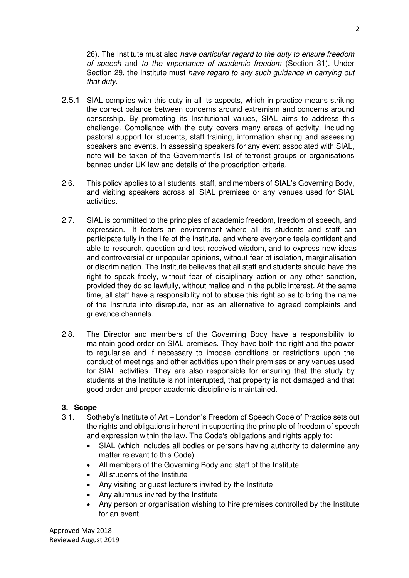26). The Institute must also *have particular regard to the duty to ensure freedom of speech* and *to the importance of academic freedom* (Section 31). Under Section 29, the Institute must *have regard to any such guidance in carrying out that duty.*

- 2.5.1 SIAL complies with this duty in all its aspects, which in practice means striking the correct balance between concerns around extremism and concerns around censorship. By promoting its Institutional values, SIAL aims to address this challenge. Compliance with the duty covers many areas of activity, including pastoral support for students, staff training, information sharing and assessing speakers and events. In assessing speakers for any event associated with SIAL, note will be taken of the Government's list of terrorist groups or organisations banned under UK law and details of the proscription criteria.
- 2.6. This policy applies to all students, staff, and members of SIAL's Governing Body, and visiting speakers across all SIAL premises or any venues used for SIAL activities.
- 2.7. SIAL is committed to the principles of academic freedom, freedom of speech, and expression. It fosters an environment where all its students and staff can participate fully in the life of the Institute, and where everyone feels confident and able to research, question and test received wisdom, and to express new ideas and controversial or unpopular opinions, without fear of isolation, marginalisation or discrimination. The Institute believes that all staff and students should have the right to speak freely, without fear of disciplinary action or any other sanction, provided they do so lawfully, without malice and in the public interest. At the same time, all staff have a responsibility not to abuse this right so as to bring the name of the Institute into disrepute, nor as an alternative to agreed complaints and grievance channels.
- 2.8. The Director and members of the Governing Body have a responsibility to maintain good order on SIAL premises. They have both the right and the power to regularise and if necessary to impose conditions or restrictions upon the conduct of meetings and other activities upon their premises or any venues used for SIAL activities. They are also responsible for ensuring that the study by students at the Institute is not interrupted, that property is not damaged and that good order and proper academic discipline is maintained.

#### **3. Scope**

- 3.1. Sotheby's Institute of Art London's Freedom of Speech Code of Practice sets out the rights and obligations inherent in supporting the principle of freedom of speech and expression within the law. The Code's obligations and rights apply to:
	- SIAL (which includes all bodies or persons having authority to determine any matter relevant to this Code)
	- All members of the Governing Body and staff of the Institute
	- All students of the Institute
	- Any visiting or guest lecturers invited by the Institute
	- Any alumnus invited by the Institute
	- Any person or organisation wishing to hire premises controlled by the Institute for an event.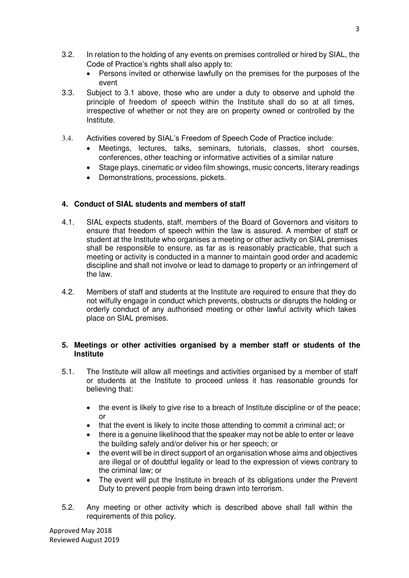- 3.2. In relation to the holding of any events on premises controlled or hired by SIAL, the Code of Practice's rights shall also apply to:
	- Persons invited or otherwise lawfully on the premises for the purposes of the event
- 3.3. Subject to 3.1 above, those who are under a duty to observe and uphold the principle of freedom of speech within the Institute shall do so at all times, irrespective of whether or not they are on property owned or controlled by the Institute.
- 3.4. Activities covered by SIAL's Freedom of Speech Code of Practice include:
	- Meetings, lectures, talks, seminars, tutorials, classes, short courses, conferences, other teaching or informative activities of a similar nature
	- Stage plays, cinematic or video film showings, music concerts, literary readings
	- Demonstrations, processions, pickets.

# **4. Conduct of SIAL students and members of staff**

- 4.1. SIAL expects students, staff, members of the Board of Governors and visitors to ensure that freedom of speech within the law is assured. A member of staff or student at the Institute who organises a meeting or other activity on SIAL premises shall be responsible to ensure, as far as is reasonably practicable, that such a meeting or activity is conducted in a manner to maintain good order and academic discipline and shall not involve or lead to damage to property or an infringement of the law.
- 4.2. Members of staff and students at the Institute are required to ensure that they do not wilfully engage in conduct which prevents, obstructs or disrupts the holding or orderly conduct of any authorised meeting or other lawful activity which takes place on SIAL premises.

#### **5. Meetings or other activities organised by a member staff or students of the Institute**

- 5.1. The Institute will allow all meetings and activities organised by a member of staff or students at the Institute to proceed unless it has reasonable grounds for believing that:
	- the event is likely to give rise to a breach of Institute discipline or of the peace; or
	- that the event is likely to incite those attending to commit a criminal act; or
	- there is a genuine likelihood that the speaker may not be able to enter or leave the building safely and/or deliver his or her speech; or
	- the event will be in direct support of an organisation whose aims and objectives are illegal or of doubtful legality or lead to the expression of views contrary to the criminal law; or
	- The event will put the Institute in breach of its obligations under the Prevent Duty to prevent people from being drawn into terrorism.
- 5.2. Any meeting or other activity which is described above shall fall within the requirements of this policy.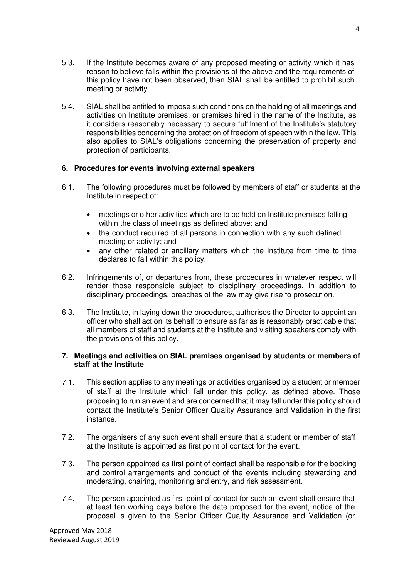- 5.3. If the Institute becomes aware of any proposed meeting or activity which it has reason to believe falls within the provisions of the above and the requirements of this policy have not been observed, then SIAL shall be entitled to prohibit such meeting or activity.
- 5.4. SIAL shall be entitled to impose such conditions on the holding of all meetings and activities on Institute premises, or premises hired in the name of the Institute, as it considers reasonably necessary to secure fulfilment of the Institute's statutory responsibilities concerning the protection of freedom of speech within the law. This also applies to SIAL's obligations concerning the preservation of property and protection of participants.

#### **6. Procedures for events involving external speakers**

- 6.1. The following procedures must be followed by members of staff or students at the Institute in respect of:
	- meetings or other activities which are to be held on Institute premises falling within the class of meetings as defined above; and
	- the conduct required of all persons in connection with any such defined meeting or activity; and
	- any other related or ancillary matters which the Institute from time to time declares to fall within this policy.
- 6.2. Infringements of, or departures from, these procedures in whatever respect will render those responsible subject to disciplinary proceedings. In addition to disciplinary proceedings, breaches of the law may give rise to prosecution.
- 6.3. The Institute, in laying down the procedures, authorises the Director to appoint an officer who shall act on its behalf to ensure as far as is reasonably practicable that all members of staff and students at the Institute and visiting speakers comply with the provisions of this policy.

#### **7. Meetings and activities on SIAL premises organised by students or members of staff at the Institute**

- 7.1. This section applies to any meetings or activities organised by a student or member of staff at the Institute which fall under this policy, as defined above. Those proposing to run an event and are concerned that it may fall under this policy should contact the Institute's Senior Officer Quality Assurance and Validation in the first instance.
- 7.2. The organisers of any such event shall ensure that a student or member of staff at the Institute is appointed as first point of contact for the event.
- 7.3. The person appointed as first point of contact shall be responsible for the booking and control arrangements and conduct of the events including stewarding and moderating, chairing, monitoring and entry, and risk assessment.
- 7.4. The person appointed as first point of contact for such an event shall ensure that at least ten working days before the date proposed for the event, notice of the proposal is given to the Senior Officer Quality Assurance and Validation (or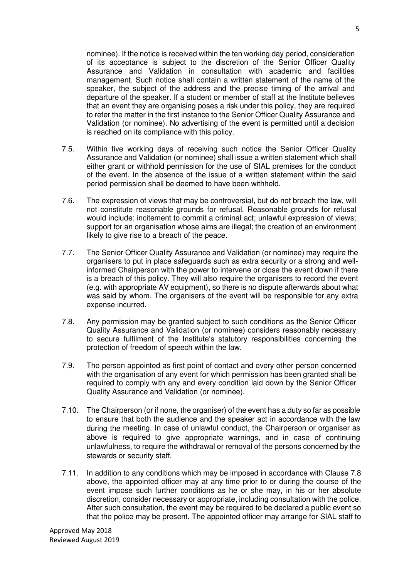nominee). If the notice is received within the ten working day period, consideration of its acceptance is subject to the discretion of the Senior Officer Quality Assurance and Validation in consultation with academic and facilities management. Such notice shall contain a written statement of the name of the speaker, the subject of the address and the precise timing of the arrival and departure of the speaker. If a student or member of staff at the Institute believes that an event they are organising poses a risk under this policy, they are required to refer the matter in the first instance to the Senior Officer Quality Assurance and Validation (or nominee). No advertising of the event is permitted until a decision is reached on its compliance with this policy.

- 7.5. Within five working days of receiving such notice the Senior Officer Quality Assurance and Validation (or nominee) shall issue a written statement which shall either grant or withhold permission for the use of SIAL premises for the conduct of the event. In the absence of the issue of a written statement within the said period permission shall be deemed to have been withheld.
- 7.6. The expression of views that may be controversial, but do not breach the law, will not constitute reasonable grounds for refusal. Reasonable grounds for refusal would include: incitement to commit a criminal act; unlawful expression of views; support for an organisation whose aims are illegal; the creation of an environment likely to give rise to a breach of the peace.
- 7.7. The Senior Officer Quality Assurance and Validation (or nominee) may require the organisers to put in place safeguards such as extra security or a strong and wellinformed Chairperson with the power to intervene or close the event down if there is a breach of this policy. They will also require the organisers to record the event (e.g. with appropriate AV equipment), so there is no dispute afterwards about what was said by whom. The organisers of the event will be responsible for any extra expense incurred.
- 7.8. Any permission may be granted subject to such conditions as the Senior Officer Quality Assurance and Validation (or nominee) considers reasonably necessary to secure fulfilment of the Institute's statutory responsibilities concerning the protection of freedom of speech within the law.
- 7.9. The person appointed as first point of contact and every other person concerned with the organisation of any event for which permission has been granted shall be required to comply with any and every condition laid down by the Senior Officer Quality Assurance and Validation (or nominee).
- 7.10. The Chairperson (or if none, the organiser) of the event has a duty so far as possible to ensure that both the audience and the speaker act in accordance with the law during the meeting. In case of unlawful conduct, the Chairperson or organiser as above is required to give appropriate warnings, and in case of continuing unlawfulness, to require the withdrawal or removal of the persons concerned by the stewards or security staff.
- 7.11. In addition to any conditions which may be imposed in accordance with Clause 7.8 above, the appointed officer may at any time prior to or during the course of the event impose such further conditions as he or she may, in his or her absolute discretion, consider necessary or appropriate, including consultation with the police. After such consultation, the event may be required to be declared a public event so that the police may be present. The appointed officer may arrange for SIAL staff to